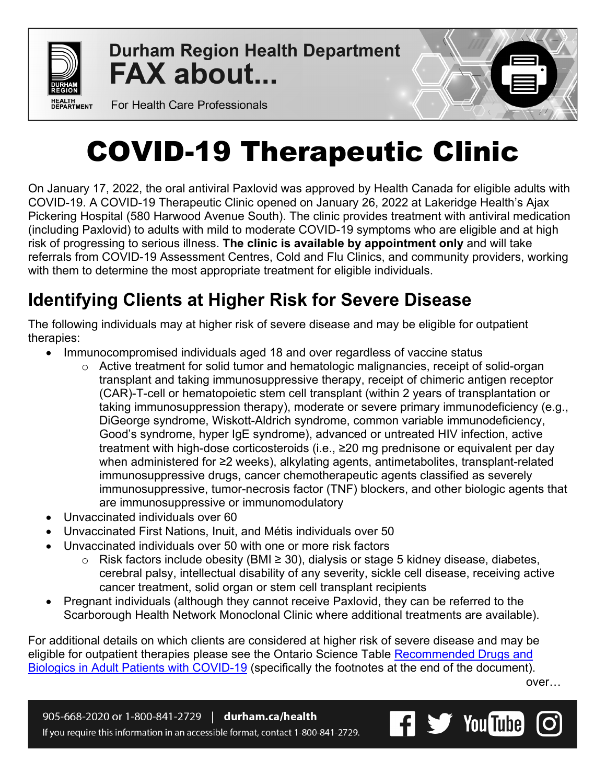

**Durham Region Health Department FAX about...** 



For Health Care Professionals

# COVID-19 Therapeutic Clinic

On January 17, 2022, the oral antiviral Paxlovid was approved by Health Canada for eligible adults with COVID-19. A COVID-19 Therapeutic Clinic opened on January 26, 2022 at Lakeridge Health's Ajax Pickering Hospital (580 Harwood Avenue South). The clinic provides treatment with antiviral medication (including Paxlovid) to adults with mild to moderate COVID-19 symptoms who are eligible and at high risk of progressing to serious illness. **The clinic is available by appointment only** and will take referrals from COVID-19 Assessment Centres, Cold and Flu Clinics, and community providers, working with them to determine the most appropriate treatment for eligible individuals.

# **Identifying Clients at Higher Risk for Severe Disease**

The following individuals may at higher risk of severe disease and may be eligible for outpatient therapies:

- Immunocompromised individuals aged 18 and over regardless of vaccine status
	- o Active treatment for solid tumor and hematologic malignancies, receipt of solid-organ transplant and taking immunosuppressive therapy, receipt of chimeric antigen receptor (CAR)-T-cell or hematopoietic stem cell transplant (within 2 years of transplantation or taking immunosuppression therapy), moderate or severe primary immunodeficiency (e.g., DiGeorge syndrome, Wiskott-Aldrich syndrome, common variable immunodeficiency, Good's syndrome, hyper IgE syndrome), advanced or untreated HIV infection, active treatment with high-dose corticosteroids (i.e., ≥20 mg prednisone or equivalent per day when administered for ≥2 weeks), alkylating agents, antimetabolites, transplant-related immunosuppressive drugs, cancer chemotherapeutic agents classified as severely immunosuppressive, tumor-necrosis factor (TNF) blockers, and other biologic agents that are immunosuppressive or immunomodulatory
- Unvaccinated individuals over 60
- Unvaccinated First Nations, Inuit, and Métis individuals over 50
- Unvaccinated individuals over 50 with one or more risk factors
	- o Risk factors include obesity (BMI ≥ 30), dialysis or stage 5 kidney disease, diabetes, cerebral palsy, intellectual disability of any severity, sickle cell disease, receiving active cancer treatment, solid organ or stem cell transplant recipients
- Pregnant individuals (although they cannot receive Paxlovid, they can be referred to the Scarborough Health Network Monoclonal Clinic where additional treatments are available).

For additional details on which clients are considered at higher risk of severe disease and may be eligible for outpatient therapies please see the Ontario Science Table Recommended Drugs and [Biologics in Adult Patients with COVID-19](https://covid19-sciencetable.ca/wp-content/uploads/2022/01/Clinical-Practice-Guidelines_Update_20220121.pdf) (specifically the footnotes at the end of the document).

over…

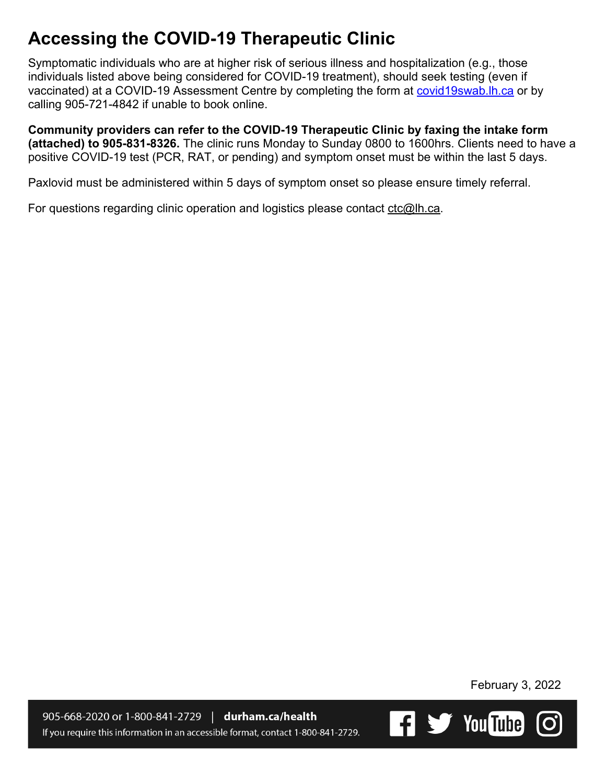## **Accessing the COVID-19 Therapeutic Clinic**

Symptomatic individuals who are at higher risk of serious illness and hospitalization (e.g., those individuals listed above being considered for COVID-19 treatment), should seek testing (even if vaccinated) at a COVID-19 Assessment Centre by completing the form at covid19swab. Ih ca or by calling 905-721-4842 if unable to book online.

**Community providers can refer to the COVID-19 Therapeutic Clinic by faxing the intake form (attached) to 905-831-8326.** The clinic runs Monday to Sunday 0800 to 1600hrs. Clients need to have a positive COVID-19 test (PCR, RAT, or pending) and symptom onset must be within the last 5 days.

Paxlovid must be administered within 5 days of symptom onset so please ensure timely referral.

For questions regarding clinic operation and logistics please contact [ctc@lh.ca.](mailto:ctc@lh.ca)

February 3, 2022